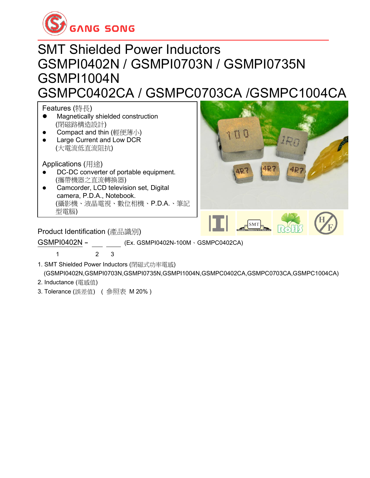

#### SMT Shielded Power Inductors GSMPI0402N / GSMPI0703N / GSMPI0735N GSMPI1004N GSMPC0402CA / GSMPC0703CA /GSMPC1004CA

Features (特長)

- ⚫ Magnetically shielded construction (閉磁路構造設計)
- Compact and thin (輕便薄小)
- ⚫ Large Current and Low DCR (大電流低直流阻抗)

Applications (用途)

- DC-DC converter of portable equipment. (攜帶機器之直流轉換器)
- Camcorder, LCD television set, Digital camera, P.D.A., Notebook. (攝影機、液晶電視、數位相機、P.D.A.、筆記 型電腦) where size communication equipment is a small size communication equipment.



**Product Identification (**產品識別)

GSMPI0402N - (Ex. GSMPI0402N-100M、GSMPC0402CA)

1 2 3

- 1. SMT Shielded Power Inductors (閉磁式功率電感) (GSMPI0402N,GSMPI0703N,GSMPI0735N,GSMPI1004N,GSMPC0402CA,GSMPC0703CA,GSMPC1004CA)
- 2. Inductance (電感值)
- 3. Tolerance (誤差值) ( 參照表 M 20% )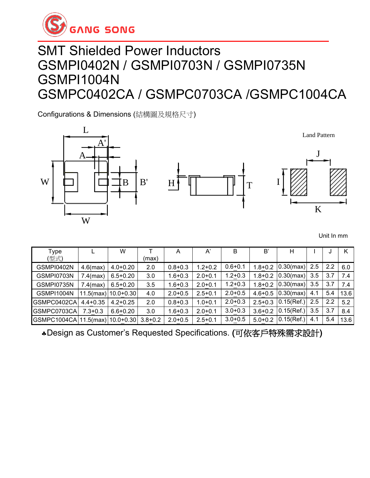

#### SMT Shielded Power Inductors GSMPI0402N / GSMPI0703N / GSMPI0735N GSMPI1004N GSMPC0402CA / GSMPC0703CA /GSMPC1004CA

Configurations & Dimensions (結構圖及規格尺寸)



Unit In mm

| Type                                    |              | W                        |         | A           | A'          | B           | B'          | Н                   |     | J   |      |
|-----------------------------------------|--------------|--------------------------|---------|-------------|-------------|-------------|-------------|---------------------|-----|-----|------|
| (型式)                                    |              |                          | (max)   |             |             |             |             |                     |     |     |      |
| GSMPI0402N                              | $4.6$ (max)  | $4.0 + 0.20$             | $2.0\,$ | $0.8 + 0.3$ | $1.2 + 0.2$ | $0.6 + 0.1$ | $1.8 + 0.2$ | $0.30 \text{(max)}$ | 2.5 | 2.2 | 6.0  |
| GSMPI0703N                              | $7.4$ (max)  | $6.5 + 0.20$             | 3.0     | $1.6 + 0.3$ | $2.0 + 0.1$ | $1.2 + 0.3$ | $1.8 + 0.2$ | $0.30$ (max)        | 3.5 | 3.7 | 7.4  |
| GSMPI0735N                              | $7.4$ (max)  | $6.5 + 0.20$             | 3.5     | $1.6 + 0.3$ | $2.0 + 0.1$ | $1.2 + 0.3$ | $1.8 + 0.2$ | $0.30$ (max)        | 3.5 | 3.7 | 7.4  |
| GSMPI1004N                              |              | $11.5$ (max)   10.0+0.30 | 4.0     | $2.0 + 0.5$ | $2.5 + 0.1$ | $2.0 + 0.5$ | $4.6 + 0.5$ | $0.30$ (max)        | 4.1 | 5.4 | 13.6 |
| GSMPC0402CA                             | $4.4 + 0.35$ | $4.2 + 0.25$             | $2.0\,$ | $0.8 + 0.3$ | $1.0 + 0.1$ | $2.0 + 0.3$ | $2.5 + 0.3$ | 0.15(Ref.)          | 2.5 | 2.2 | 5.2  |
| GSMPC0703CA                             | $7.3 + 0.3$  | $6.6 + 0.20$             | 3.0     | $1.6 + 0.3$ | $2.0 + 0.1$ | $3.0 + 0.3$ | $3.6 + 0.2$ | 0.15(Ref.)          | 3.5 | 3.7 | 8.4  |
| GSMPC1004CA 11.5(max) 10.0+0.30 3.8+0.2 |              |                          |         | $2.0 + 0.5$ | $2.5 + 0.1$ | $3.0 + 0.5$ | $5.0 + 0.2$ | 0.15(Ref.)          | 4.1 | 5.4 | 13.6 |

Design as Customer's Requested Specifications. (可依客戶特殊需求設計)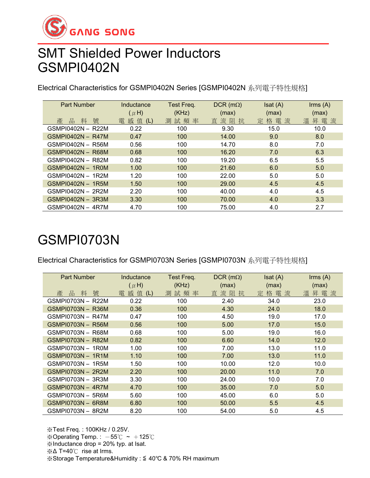

### SMT Shielded Power Inductors GSMPI0402N

Electrical Characteristics for GSMPI0402N Series [GSMPI0402N 系列電子特性規格]

| <b>Part Number</b> | Inductance   | Test Freq. | $DCR$ (m $\Omega$ ) | Isat(A) | $\mathsf{lrms}(\mathsf{A})$ |
|--------------------|--------------|------------|---------------------|---------|-----------------------------|
|                    | $(\mu H)$    | (KHz)      | (max)               | (max)   | (max)                       |
| 號<br>產<br>料<br>品   | 感 值 (L)<br>雷 | 測試頻率       | 直流阻<br>抗            | 定格電流    | 電<br>溫昇<br>流                |
| GSMPI0402N - R22M  | 0.22         | 100        | 9.30                | 15.0    | 10.0                        |
| GSMPI0402N - R47M  | 0.47         | 100        | 14.00               | 9.0     | 8.0                         |
| GSMPI0402N - R56M  | 0.56         | 100        | 14.70               | 8.0     | 7.0                         |
| GSMPI0402N - R68M  | 0.68         | 100        | 16.20               | 7.0     | 6.3                         |
| GSMPI0402N - R82M  | 0.82         | 100        | 19.20               | 6.5     | 5.5                         |
| GSMPI0402N - 1R0M  | 1.00         | 100        | 21.60               | 6.0     | 5.0                         |
| GSMPI0402N - 1R2M  | 1.20         | 100        | 22.00               | 5.0     | 5.0                         |
| GSMPI0402N - 1R5M  | 1.50         | 100        | 29.00               | 4.5     | 4.5                         |
| GSMPI0402N - 2R2M  | 2.20         | 100        | 40.00               | 4.0     | 4.5                         |
| GSMPI0402N - 3R3M  | 3.30         | 100        | 70.00               | 4.0     | 3.3                         |
| GSMPI0402N - 4R7M  | 4.70         | 100        | 75.00               | 4.0     | 2.7                         |

# GSMPI0703N

Electrical Characteristics for GSMPI0703N Series [GSMPI0703N 系列電子特性規格]

| <b>Part Number</b>  | Inductance                  | Test Freq.        | $DCR$ (m $\Omega$ )   | Isat(A)           | Irms (A)          |
|---------------------|-----------------------------|-------------------|-----------------------|-------------------|-------------------|
| 號<br>產<br>品<br>料    | $(\mu H)$<br>感值<br>電<br>(L) | (KHz)<br>試頻率<br>測 | (max)<br>流阻<br>直<br>抗 | (max)<br>格電流<br>定 | (max)<br>昇電流<br>溫 |
| GSMPI0703N - R22M   | 0.22                        | 100               | 2.40                  | 34.0              | 23.0              |
| GSMPI0703N - R36M   | 0.36                        | 100               | 4.30                  | 24.0              | 18.0              |
| GSMPI0703N - R47M   | 0.47                        | 100               | 4.50                  | 19.0              | 17.0              |
| GSMPI0703N - R56M   | 0.56                        | 100               | 5.00                  | 17.0              | 15.0              |
| GSMPI0703N - R68M   | 0.68                        | 100               | 5.00                  | 19.0              | 16.0              |
| GSMPI0703N - R82M   | 0.82                        | 100               | 6.60                  | 14.0              | 12.0              |
| GSMPI0703N - 1R0M   | 1.00                        | 100               | 7.00                  | 13.0              | 11.0              |
| GSMPI0703N - 1R1M   | 1.10                        | 100               | 7.00                  | 13.0              | 11.0              |
| GSMPI0703N - 1R5M   | 1.50                        | 100               | 10.00                 | 12.0              | 10.0              |
| GSMPI0703N - 2R2M   | 2.20                        | 100               | 20.00                 | 11.0              | 7.0               |
| GSMPI0703N - 3R3M   | 3.30                        | 100               | 24.00                 | 10.0              | 7.0               |
| $GSMP10703N - 4R7M$ | 4.70                        | 100               | 35.00                 | 7.0               | 5.0               |
| GSMPI0703N - 5R6M   | 5.60                        | 100               | 45.00                 | 6.0               | 5.0               |
| GSMPI0703N - 6R8M   | 6.80                        | 100               | 50.00                 | 5.5               | 4.5               |
| GSMPI0703N - 8R2M   | 8.20                        | 100               | 54.00                 | 5.0               | 4.5               |

※Test Freq. : 100KHz / 0.25V. ※Operating Temp. :  $-55^{\circ}\text{C}$  ~ +125 $^{\circ}\text{C}$ ※Inductance drop = 20% typ. at Isat. ※Δ T=40℃ rise at Irms. ※Storage Temperature&Humidity : ≦ 40℃ & 70% RH maximum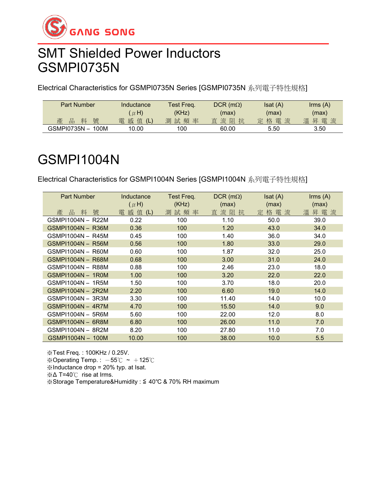

#### SMT Shielded Power Inductors GSMPI0735N

Electrical Characteristics for GSMPI0735N Series [GSMPI0735N 系列電子特性規格]

| <b>Part Number</b> | Inductance | Test Freq. | $DCR$ (m $\Omega$ ) | Isat(A) | $\mathsf{lrms}\ (\mathsf{A})$ |
|--------------------|------------|------------|---------------------|---------|-------------------------------|
|                    | $(\mu H)$  | (KHz)      | (max)               | (max)   | (max)                         |
| 號<br>產<br>料<br>品   | 電 感 值 (L)  | 測試頻率       | 直流阻抗                | 定格電流    | 溫昇電流                          |
| GSMPI0735N - 100M  | 10.00      | 100        | 60.00               | 5.50    | 3.50                          |

## GSMPI1004N

Electrical Characteristics for GSMPI1004N Series [GSMPI1004N 系列電子特性規格]

| <b>Part Number</b> | Inductance     | Test Freq. | $DCR$ (m $\Omega$ ) | Isat(A) | $\mathsf{lrms}\;(\mathsf{A})$ |
|--------------------|----------------|------------|---------------------|---------|-------------------------------|
|                    | $(\mu H)$      | (KHz)      | (max)               | (max)   | (max)                         |
| 號<br>產<br>品<br>料   | 感值<br>電<br>(L) | 測試頻率       | 流阻<br>直<br>抗        | 定格電流    | 昇電流<br>溫                      |
| GSMP11004N - R22M  | 0.22           | 100        | 1.10                | 50.0    | 39.0                          |
| GSMPI1004N - R36M  | 0.36           | 100        | 1.20                | 43.0    | 34.0                          |
| GSMPI1004N - R45M  | 0.45           | 100        | 1.40                | 36.0    | 34.0                          |
| GSMPI1004N - R56M  | 0.56           | 100        | 1.80                | 33.0    | 29.0                          |
| GSMPI1004N - R60M  | 0.60           | 100        | 1.87                | 32.0    | 25.0                          |
| GSMP11004N - R68M  | 0.68           | 100        | 3.00                | 31.0    | 24.0                          |
| GSMP11004N - R88M  | 0.88           | 100        | 2.46                | 23.0    | 18.0                          |
| GSMPI1004N - 1R0M  | 1.00           | 100        | 3.20                | 22.0    | 22.0                          |
| GSMPI1004N - 1R5M  | 1.50           | 100        | 3.70                | 18.0    | 20.0                          |
| GSMPI1004N - 2R2M  | 2.20           | 100        | 6.60                | 19.0    | 14.0                          |
| GSMPI1004N - 3R3M  | 3.30           | 100        | 11.40               | 14.0    | 10.0                          |
| GSMPI1004N - 4R7M  | 4.70           | 100        | 15.50               | 14.0    | 9.0                           |
| GSMP11004N - 5R6M  | 5.60           | 100        | 22.00               | 12.0    | 8.0                           |
| GSMP11004N - 6R8M  | 6.80           | 100        | 26.00               | 11.0    | 7.0                           |
| GSMP11004N - 8R2M  | 8.20           | 100        | 27.80               | 11.0    | 7.0                           |
| GSMPI1004N - 100M  | 10.00          | 100        | 38.00               | 10.0    | 5.5                           |

※Test Freq. : 100KHz / 0.25V. ※Operating Temp.:  $-55^{\circ}$ C ~ +125 $^{\circ}$ C ※Inductance drop = 20% typ. at Isat. ※Δ T=40℃ rise at Irms.

※Storage Temperature&Humidity : ≦ 40℃ & 70% RH maximum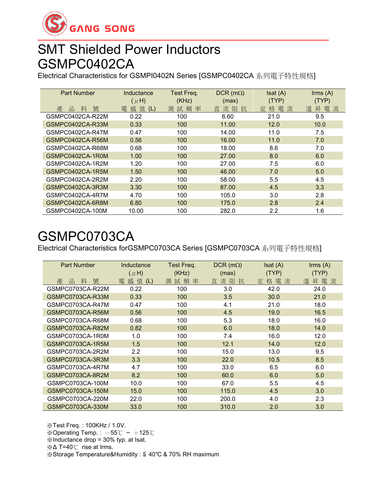

### SMT Shielded Power Inductors GSMPC0402CA

Electrical Characteristics for GSMPI0402N Series [GSMPC0402CA 系列電子特性規格]

| <b>Part Number</b> | Inductance     | Test Freq. | $DCR$ (m $\Omega$ ) | Isat(A)  | $\text{lrms}(\text{A})$ |
|--------------------|----------------|------------|---------------------|----------|-------------------------|
|                    | $(\mu H)$      | (KHz)      | (max)               | (TYP)    | (TYP)                   |
| 號<br>產<br>品<br>料   | 感值<br>電<br>(L) | 試頻率<br>測   | 直流阻抗                | 定格電<br>流 | 昇電流<br>溫                |
| GSMPC0402CA-R22M   | 0.22           | 100        | 6.60                | 21.0     | 9.5                     |
| GSMPC0402CA-R33M   | 0.33           | 100        | 11.00               | 12.0     | 10.0                    |
| GSMPC0402CA-R47M   | 0.47           | 100        | 14.00               | 11.0     | 7.5                     |
| GSMPC0402CA-R56M   | 0.56           | 100        | 16.00               | 11.0     | 7.0                     |
| GSMPC0402CA-R68M   | 0.68           | 100        | 18.00               | 8.6      | 7.0                     |
| GSMPC0402CA-1R0M   | 1.00           | 100        | 27.00               | 8.0      | 6.0                     |
| GSMPC0402CA-1R2M   | 1.20           | 100        | 27.00               | 7.5      | 6.0                     |
| GSMPC0402CA-1R5M   | 1.50           | 100        | 46.00               | 7.0      | 5.0                     |
| GSMPC0402CA-2R2M   | 2.20           | 100        | 58.00               | 5.5      | 4.5                     |
| GSMPC0402CA-3R3M   | 3.30           | 100        | 87.00               | 4.5      | 3.3                     |
| GSMPC0402CA-4R7M   | 4.70           | 100        | 105.0               | 3.0      | 2.8                     |
| GSMPC0402CA-6R8M   | 6.80           | 100        | 175.0               | 2.8      | 2.4                     |
| GSMPC0402CA-100M   | 10.00          | 100        | 282.0               | $2.2\,$  | 1.6                     |

### GSMPC0703CA

Electrical Characteristics forGSMPC0703CA Series [GSMPC0703CA 系列電子特性規格]

| <b>Part Number</b> | Inductance<br>$(\mu H)$ | Test Freq.<br>(KHz) | $DCR$ (m $\Omega$ )<br>(max) | Isat (A)<br>(TYP) | $\mathsf{lrms}\;(\mathsf{A})$<br>(TYP) |
|--------------------|-------------------------|---------------------|------------------------------|-------------------|----------------------------------------|
| 號<br>品<br>產<br>妝   | 感<br>值<br>電<br>(L)      | 試頻率<br>測            | 流<br>阻<br>直<br>抗             | 格電<br>流<br>定      | 昇電流<br>溫                               |
| GSMPC0703CA-R22M   | 0.22                    | 100                 | 3.0                          | 42.0              | 24.0                                   |
| GSMPC0703CA-R33M   | 0.33                    | 100                 | 3.5                          | 30.0              | 21.0                                   |
| GSMPC0703CA-R47M   | 0.47                    | 100                 | 4.1                          | 21.0              | 18.0                                   |
| GSMPC0703CA-R56M   | 0.56                    | 100                 | 4.5                          | 19.0              | 16.5                                   |
| GSMPC0703CA-R68M   | 0.68                    | 100                 | 5.3                          | 18.0              | 16.0                                   |
| GSMPC0703CA-R82M   | 0.82                    | 100                 | 6.0                          | 18.0              | 14.0                                   |
| GSMPC0703CA-1R0M   | 1.0                     | 100                 | 7.4                          | 16.0              | 12.0                                   |
| GSMPC0703CA-1R5M   | 1.5                     | 100                 | 12.1                         | 14.0              | 12.0                                   |
| GSMPC0703CA-2R2M   | 2.2                     | 100                 | 15.0                         | 13.0              | 9.5                                    |
| GSMPC0703CA-3R3M   | 3.3                     | 100                 | 22.0                         | 10.5              | 8.5                                    |
| GSMPC0703CA-4R7M   | 4.7                     | 100                 | 33.0                         | 6.5               | 6.0                                    |
| GSMPC0703CA-8R2M   | 8.2                     | 100                 | 60.0                         | 6.0               | 5.0                                    |
| GSMPC0703CA-100M   | 10.0                    | 100                 | 67.0                         | 5.5               | 4.5                                    |
| GSMPC0703CA-150M   | 15.0                    | 100                 | 115.0                        | 4.5               | 3.0                                    |
| GSMPC0703CA-220M   | 22.0                    | 100                 | 200.0                        | 4.0               | 2.3                                    |
| GSMPC0703CA-330M   | 33.0                    | 100                 | 310.0                        | 2.0               | 3.0                                    |

※Test Freq. : 100KHz / 1.0V. ※Operating Temp.:  $-55^{\circ}$ C ~ +125 $^{\circ}$ C ※Inductance drop = 30% typ. at Isat. ※Δ T=40℃ rise at Irms. ※Storage Temperature&Humidity : ≦ 40℃ & 70% RH maximum